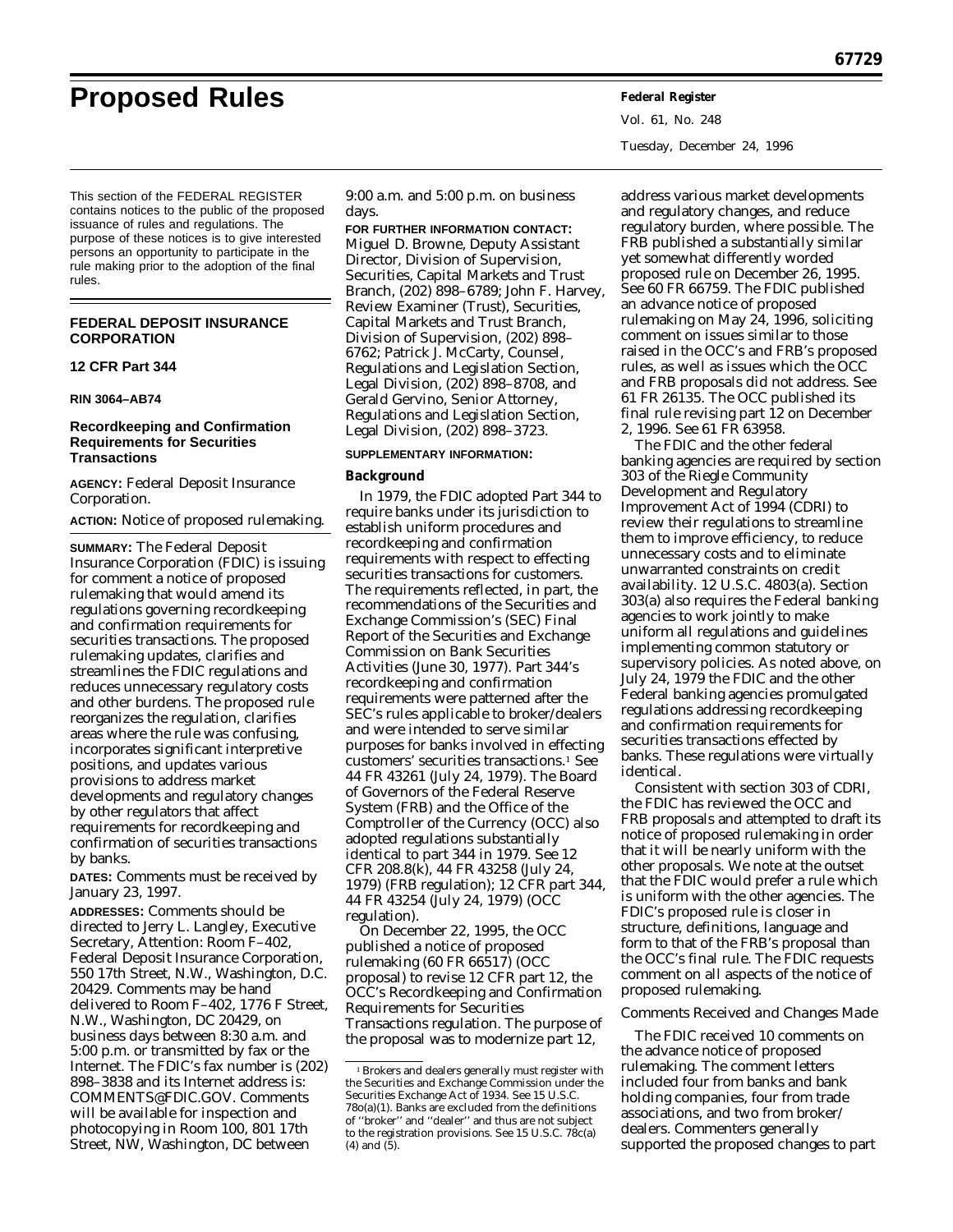**Proposed Rules Federal Register**

Vol. 61, No. 248 Tuesday, December 24, 1996

### This section of the FEDERAL REGISTER contains notices to the public of the proposed issuance of rules and regulations. The purpose of these notices is to give interested persons an opportunity to participate in the rule making prior to the adoption of the final rules.

# **FEDERAL DEPOSIT INSURANCE CORPORATION**

### **12 CFR Part 344**

### **RIN 3064–AB74**

# **Recordkeeping and Confirmation Requirements for Securities Transactions**

**AGENCY:** Federal Deposit Insurance Corporation.

### **ACTION:** Notice of proposed rulemaking.

**SUMMARY:** The Federal Deposit Insurance Corporation (FDIC) is issuing for comment a notice of proposed rulemaking that would amend its regulations governing recordkeeping and confirmation requirements for securities transactions. The proposed rulemaking updates, clarifies and streamlines the FDIC regulations and reduces unnecessary regulatory costs and other burdens. The proposed rule reorganizes the regulation, clarifies areas where the rule was confusing, incorporates significant interpretive positions, and updates various provisions to address market developments and regulatory changes by other regulators that affect requirements for recordkeeping and confirmation of securities transactions by banks.

**DATES:** Comments must be received by January 23, 1997.

**ADDRESSES:** Comments should be directed to Jerry L. Langley, Executive Secretary, Attention: Room F–402, Federal Deposit Insurance Corporation, 550 17th Street, N.W., Washington, D.C. 20429. Comments may be hand delivered to Room F–402, 1776 F Street, N.W., Washington, DC 20429, on business days between 8:30 a.m. and 5:00 p.m. or transmitted by fax or the Internet. The FDIC's fax number is (202) 898–3838 and its Internet address is: COMMENTS@FDIC.GOV. Comments will be available for inspection and photocopying in Room 100, 801 17th Street, NW, Washington, DC between

9:00 a.m. and 5:00 p.m. on business days.

**FOR FURTHER INFORMATION CONTACT:** Miguel D. Browne, Deputy Assistant Director, Division of Supervision, Securities, Capital Markets and Trust Branch, (202) 898–6789; John F. Harvey, Review Examiner (Trust), Securities, Capital Markets and Trust Branch, Division of Supervision, (202) 898– 6762; Patrick J. McCarty, Counsel, Regulations and Legislation Section, Legal Division, (202) 898–8708, and Gerald Gervino, Senior Attorney, Regulations and Legislation Section, Legal Division, (202) 898–3723.

### **SUPPLEMENTARY INFORMATION:**

### **Background**

In 1979, the FDIC adopted Part 344 to require banks under its jurisdiction to establish uniform procedures and recordkeeping and confirmation requirements with respect to effecting securities transactions for customers. The requirements reflected, in part, the recommendations of the Securities and Exchange Commission's (SEC) Final Report of the Securities and Exchange Commission on Bank Securities Activities (June 30, 1977). Part 344's recordkeeping and confirmation requirements were patterned after the SEC's rules applicable to broker/dealers and were intended to serve similar purposes for banks involved in effecting customers' securities transactions.1 See 44 FR 43261 (July 24, 1979). The Board of Governors of the Federal Reserve System (FRB) and the Office of the Comptroller of the Currency (OCC) also adopted regulations substantially identical to part 344 in 1979. See 12 CFR 208.8(k), 44 FR 43258 (July 24, 1979) (FRB regulation); 12 CFR part 344, 44 FR 43254 (July 24, 1979) (OCC regulation).

On December 22, 1995, the OCC published a notice of proposed rulemaking (60 FR 66517) (OCC proposal) to revise 12 CFR part 12, the OCC's Recordkeeping and Confirmation Requirements for Securities Transactions regulation. The purpose of the proposal was to modernize part 12,

address various market developments and regulatory changes, and reduce regulatory burden, where possible. The FRB published a substantially similar yet somewhat differently worded proposed rule on December 26, 1995. See 60 FR 66759. The FDIC published an advance notice of proposed rulemaking on May 24, 1996, soliciting comment on issues similar to those raised in the OCC's and FRB's proposed rules, as well as issues which the OCC and FRB proposals did not address. See 61 FR 26135. The OCC published its final rule revising part 12 on December 2, 1996. See 61 FR 63958.

The FDIC and the other federal banking agencies are required by section 303 of the Riegle Community Development and Regulatory Improvement Act of 1994 (CDRI) to review their regulations to streamline them to improve efficiency, to reduce unnecessary costs and to eliminate unwarranted constraints on credit availability. 12 U.S.C. 4803(a). Section 303(a) also requires the Federal banking agencies to work jointly to make uniform all regulations and guidelines implementing common statutory or supervisory policies. As noted above, on July 24, 1979 the FDIC and the other Federal banking agencies promulgated regulations addressing recordkeeping and confirmation requirements for securities transactions effected by banks. These regulations were virtually identical.

Consistent with section 303 of CDRI, the FDIC has reviewed the OCC and FRB proposals and attempted to draft its notice of proposed rulemaking in order that it will be nearly uniform with the other proposals. We note at the outset that the FDIC would prefer a rule which is uniform with the other agencies. The FDIC's proposed rule is closer in structure, definitions, language and form to that of the FRB's proposal than the OCC's final rule. The FDIC requests comment on all aspects of the notice of proposed rulemaking.

#### *Comments Received and Changes Made*

The FDIC received 10 comments on the advance notice of proposed rulemaking. The comment letters included four from banks and bank holding companies, four from trade associations, and two from broker/ dealers. Commenters generally supported the proposed changes to part

<sup>1</sup>Brokers and dealers generally must register with the Securities and Exchange Commission under the Securities Exchange Act of 1934. See 15 U.S.C. 78o(a)(1). Banks are excluded from the definitions of ''broker'' and ''dealer'' and thus are not subject to the registration provisions. See 15 U.S.C. 78c(a) (4) and (5).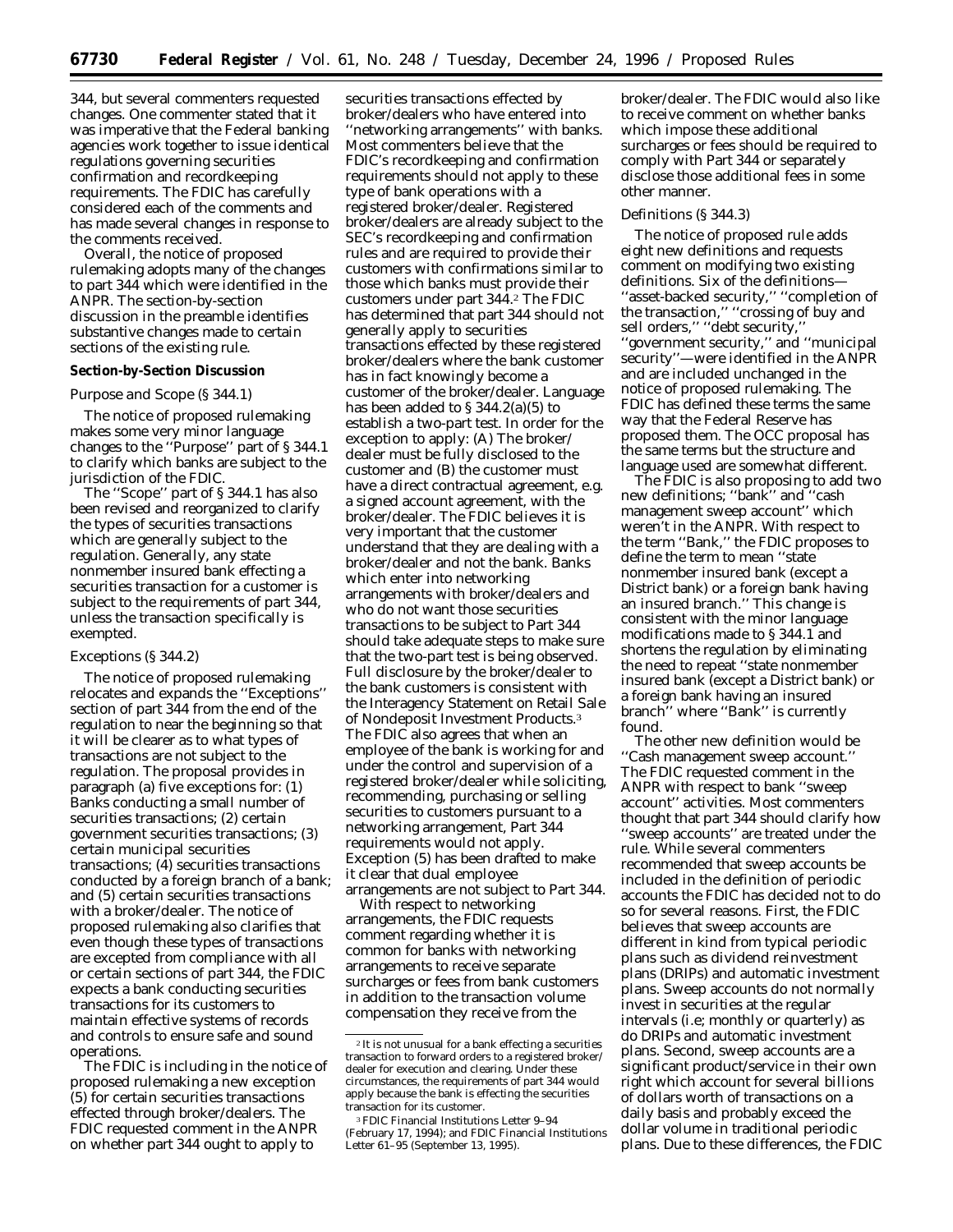344, but several commenters requested changes. One commenter stated that it was imperative that the Federal banking agencies work together to issue identical regulations governing securities confirmation and recordkeeping requirements. The FDIC has carefully considered each of the comments and has made several changes in response to the comments received.

Overall, the notice of proposed rulemaking adopts many of the changes to part 344 which were identified in the ANPR. The section-by-section discussion in the preamble identifies substantive changes made to certain sections of the existing rule.

#### **Section-by-Section Discussion**

### *Purpose and Scope (§ 344.1)*

The notice of proposed rulemaking makes some very minor language changes to the ''Purpose'' part of § 344.1 to clarify which banks are subject to the jurisdiction of the FDIC.

The ''Scope'' part of § 344.1 has also been revised and reorganized to clarify the types of securities transactions which are generally subject to the regulation. Generally, any state nonmember insured bank effecting a securities transaction for a customer is subject to the requirements of part 344, unless the transaction specifically is exempted.

### *Exceptions (§ 344.2)*

The notice of proposed rulemaking relocates and expands the ''Exceptions'' section of part 344 from the end of the regulation to near the beginning so that it will be clearer as to what types of transactions are not subject to the regulation. The proposal provides in paragraph (a) five exceptions for: (1) Banks conducting a small number of securities transactions; (2) certain government securities transactions; (3) certain municipal securities transactions; (4) securities transactions conducted by a foreign branch of a bank; and (5) certain securities transactions with a broker/dealer. The notice of proposed rulemaking also clarifies that even though these types of transactions are excepted from compliance with all or certain sections of part 344, the FDIC expects a bank conducting securities transactions for its customers to maintain effective systems of records and controls to ensure safe and sound operations.

The FDIC is including in the notice of proposed rulemaking a new exception (5) for certain securities transactions effected through broker/dealers. The FDIC requested comment in the ANPR on whether part 344 ought to apply to

securities transactions effected by broker/dealers who have entered into ''networking arrangements'' with banks. Most commenters believe that the FDIC's recordkeeping and confirmation requirements should not apply to these type of bank operations with a registered broker/dealer. Registered broker/dealers are already subject to the SEC's recordkeeping and confirmation rules and are required to provide their customers with confirmations similar to those which banks must provide their customers under part 344.2 The FDIC has determined that part 344 should not generally apply to securities transactions effected by these registered broker/dealers where the bank customer has in fact knowingly become a customer of the broker/dealer. Language has been added to  $\S 344.2(a)(5)$  to establish a two-part test. In order for the exception to apply: (A) The broker/ dealer must be fully disclosed to the customer and (B) the customer must have a direct contractual agreement, e.g. a signed account agreement, with the broker/dealer. The FDIC believes it is very important that the customer understand that they are dealing with a broker/dealer and not the bank. Banks which enter into networking arrangements with broker/dealers and who do not want those securities transactions to be subject to Part 344 should take adequate steps to make sure that the two-part test is being observed. Full disclosure by the broker/dealer to the bank customers is consistent with the Interagency Statement on Retail Sale of Nondeposit Investment Products.3 The FDIC also agrees that when an employee of the bank is working for and under the control and supervision of a registered broker/dealer while soliciting, recommending, purchasing or selling securities to customers pursuant to a networking arrangement, Part 344 requirements would not apply. Exception (5) has been drafted to make it clear that dual employee arrangements are not subject to Part 344.

With respect to networking arrangements, the FDIC requests comment regarding whether it is common for banks with networking arrangements to receive separate surcharges or fees from bank customers in addition to the transaction volume compensation they receive from the

broker/dealer. The FDIC would also like to receive comment on whether banks which impose these additional surcharges or fees should be required to comply with Part 344 or separately disclose those additional fees in some other manner.

### *Definitions (§ 344.3)*

The notice of proposed rule adds eight new definitions and requests comment on modifying two existing definitions. Six of the definitions— ''asset-backed security,'' ''completion of the transaction,'' ''crossing of buy and sell orders," "debt security, 'government security," and "municipal security''—were identified in the ANPR and are included unchanged in the notice of proposed rulemaking. The FDIC has defined these terms the same way that the Federal Reserve has proposed them. The OCC proposal has the same terms but the structure and language used are somewhat different.

The FDIC is also proposing to add two new definitions; ''bank'' and ''cash management sweep account'' which weren't in the ANPR. With respect to the term ''Bank,'' the FDIC proposes to define the term to mean ''state nonmember insured bank (except a District bank) or a foreign bank having an insured branch.'' This change is consistent with the minor language modifications made to § 344.1 and shortens the regulation by eliminating the need to repeat ''state nonmember insured bank (except a District bank) or a foreign bank having an insured branch'' where ''Bank'' is currently found.

The other new definition would be ''Cash management sweep account.'' The FDIC requested comment in the ANPR with respect to bank ''sweep account'' activities. Most commenters thought that part 344 should clarify how ''sweep accounts'' are treated under the rule. While several commenters recommended that sweep accounts be included in the definition of periodic accounts the FDIC has decided not to do so for several reasons. First, the FDIC believes that sweep accounts are different in kind from typical periodic plans such as dividend reinvestment plans (DRIPs) and automatic investment plans. Sweep accounts do not normally invest in securities at the regular intervals (i.e; monthly or quarterly) as do DRIPs and automatic investment plans. Second, sweep accounts are a significant product/service in their own right which account for several billions of dollars worth of transactions on a daily basis and probably exceed the dollar volume in traditional periodic plans. Due to these differences, the FDIC

 $\sqrt[2]{2}$  It is not unusual for a bank effecting a securities transaction to forward orders to a registered broker/ dealer for execution and clearing. Under these circumstances, the requirements of part 344 would apply because the bank is effecting the securities transaction for its customer.

<sup>3</sup>FDIC Financial Institutions Letter 9–94 (February 17, 1994); and FDIC Financial Institutions Letter 61–95 (September 13, 1995).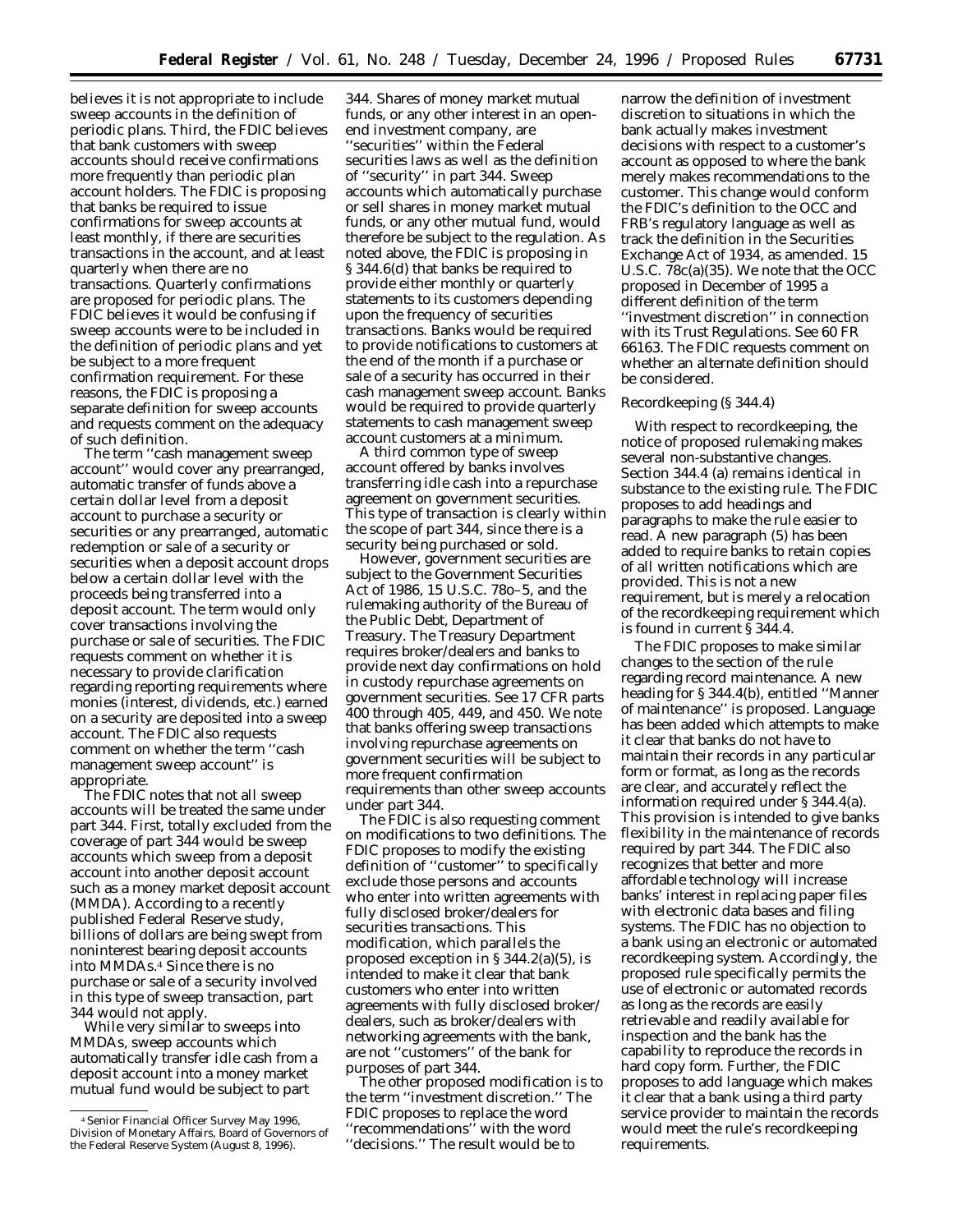believes it is not appropriate to include sweep accounts in the definition of periodic plans. Third, the FDIC believes that bank customers with sweep accounts should receive confirmations more frequently than periodic plan account holders. The FDIC is proposing that banks be required to issue confirmations for sweep accounts at least monthly, if there are securities transactions in the account, and at least quarterly when there are no transactions. Quarterly confirmations are proposed for periodic plans. The FDIC believes it would be confusing if sweep accounts were to be included in the definition of periodic plans and yet be subject to a more frequent confirmation requirement. For these reasons, the FDIC is proposing a separate definition for sweep accounts and requests comment on the adequacy of such definition.

The term ''cash management sweep account'' would cover any prearranged, automatic transfer of funds above a certain dollar level from a deposit account to purchase a security or securities or any prearranged, automatic redemption or sale of a security or securities when a deposit account drops below a certain dollar level with the proceeds being transferred into a deposit account. The term would only cover transactions involving the purchase or sale of securities. The FDIC requests comment on whether it is necessary to provide clarification regarding reporting requirements where monies (interest, dividends, etc.) earned on a security are deposited into a sweep account. The FDIC also requests comment on whether the term ''cash management sweep account'' is appropriate.

The FDIC notes that not all sweep accounts will be treated the same under part 344. First, totally excluded from the coverage of part 344 would be sweep accounts which sweep from a deposit account into another deposit account such as a money market deposit account (MMDA). According to a recently published Federal Reserve study, billions of dollars are being swept from noninterest bearing deposit accounts into MMDAs.4 Since there is no purchase or sale of a security involved in this type of sweep transaction, part 344 would not apply.

While very similar to sweeps into MMDAs, sweep accounts which automatically transfer idle cash from a deposit account into a money market mutual fund would be subject to part

344. Shares of money market mutual funds, or any other interest in an openend investment company, are ''securities'' within the Federal securities laws as well as the definition of ''security'' in part 344. Sweep accounts which automatically purchase or sell shares in money market mutual funds, or any other mutual fund, would therefore be subject to the regulation. As noted above, the FDIC is proposing in § 344.6(d) that banks be required to provide either monthly or quarterly statements to its customers depending upon the frequency of securities transactions. Banks would be required to provide notifications to customers at the end of the month if a purchase or sale of a security has occurred in their cash management sweep account. Banks would be required to provide quarterly statements to cash management sweep account customers at a minimum.

A third common type of sweep account offered by banks involves transferring idle cash into a repurchase agreement on government securities. This type of transaction is clearly within the scope of part 344, since there is a security being purchased or sold.

However, government securities are subject to the Government Securities Act of 1986, 15 U.S.C. 78o–5, and the rulemaking authority of the Bureau of the Public Debt, Department of Treasury. The Treasury Department requires broker/dealers and banks to provide next day confirmations on hold in custody repurchase agreements on government securities. See 17 CFR parts 400 through 405, 449, and 450. We note that banks offering sweep transactions involving repurchase agreements on government securities will be subject to more frequent confirmation requirements than other sweep accounts under part 344.

The FDIC is also requesting comment on modifications to two definitions. The FDIC proposes to modify the existing definition of "customer" to specifically exclude those persons and accounts who enter into written agreements with fully disclosed broker/dealers for securities transactions. This modification, which parallels the proposed exception in § 344.2(a)(5), is intended to make it clear that bank customers who enter into written agreements with fully disclosed broker/ dealers, such as broker/dealers with networking agreements with the bank, are not ''customers'' of the bank for purposes of part 344.

The other proposed modification is to the term ''investment discretion.'' The FDIC proposes to replace the word ''recommendations'' with the word ''decisions.'' The result would be to

narrow the definition of investment discretion to situations in which the bank actually makes investment decisions with respect to a customer's account as opposed to where the bank merely makes recommendations to the customer. This change would conform the FDIC's definition to the OCC and FRB's regulatory language as well as track the definition in the Securities Exchange Act of 1934, as amended. 15 U.S.C. 78c(a)(35). We note that the OCC proposed in December of 1995 a different definition of the term ''investment discretion'' in connection with its Trust Regulations. See 60 FR 66163. The FDIC requests comment on whether an alternate definition should be considered.

### *Recordkeeping (§ 344.4)*

With respect to recordkeeping, the notice of proposed rulemaking makes several non-substantive changes. Section 344.4 (a) remains identical in substance to the existing rule. The FDIC proposes to add headings and paragraphs to make the rule easier to read. A new paragraph (5) has been added to require banks to retain copies of all written notifications which are provided. This is not a new requirement, but is merely a relocation of the recordkeeping requirement which is found in current § 344.4.

The FDIC proposes to make similar changes to the section of the rule regarding record maintenance. A new heading for § 344.4(b), entitled ''Manner of maintenance'' is proposed. Language has been added which attempts to make it clear that banks do not have to maintain their records in any particular form or format, as long as the records are clear, and accurately reflect the information required under § 344.4(a). This provision is intended to give banks flexibility in the maintenance of records required by part 344. The FDIC also recognizes that better and more affordable technology will increase banks' interest in replacing paper files with electronic data bases and filing systems. The FDIC has no objection to a bank using an electronic or automated recordkeeping system. Accordingly, the proposed rule specifically permits the use of electronic or automated records as long as the records are easily retrievable and readily available for inspection and the bank has the capability to reproduce the records in hard copy form. Further, the FDIC proposes to add language which makes it clear that a bank using a third party service provider to maintain the records would meet the rule's recordkeeping requirements.

<sup>4</sup>Senior Financial Officer Survey May 1996, Division of Monetary Affairs, Board of Governors of the Federal Reserve System (August 8, 1996).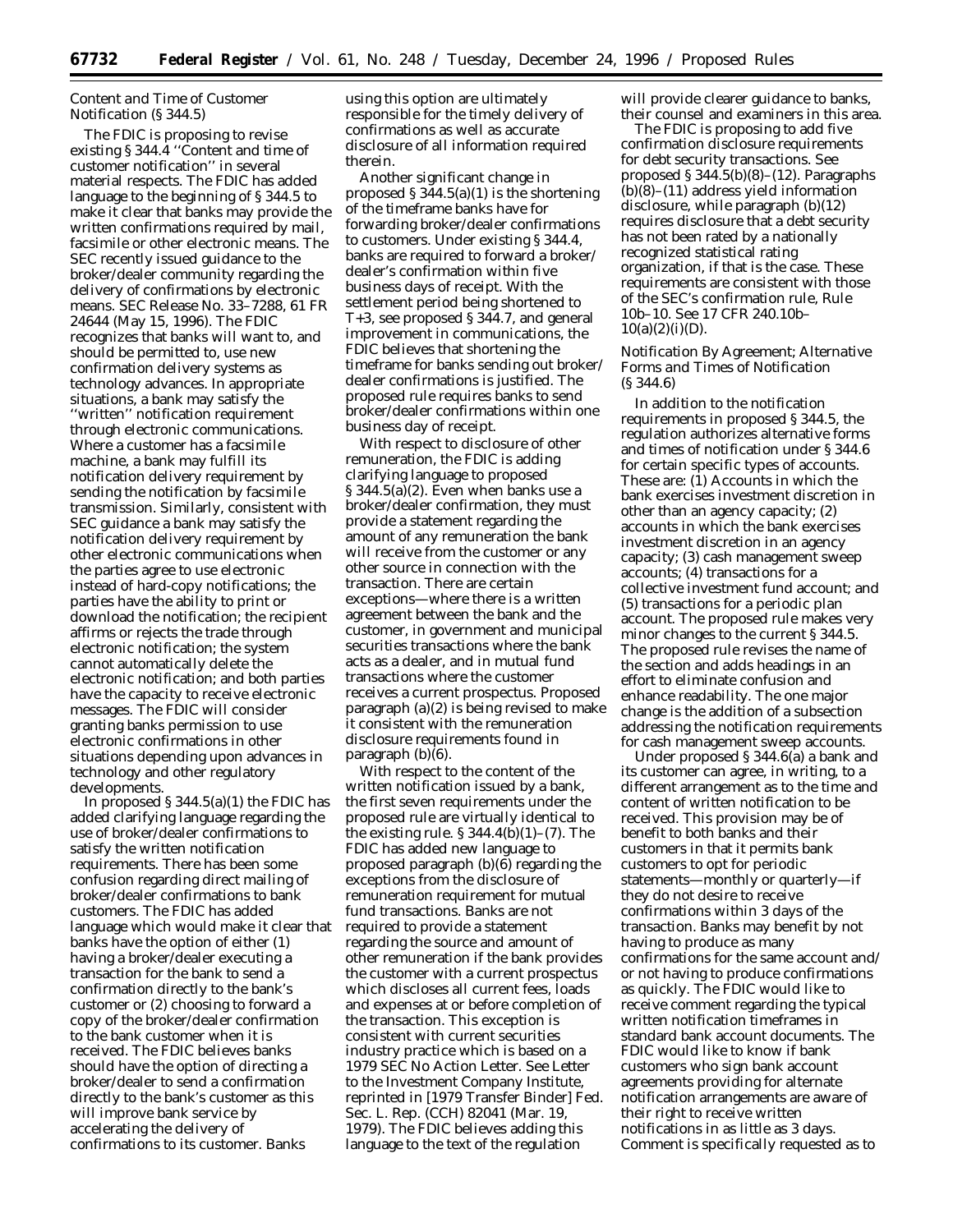### *Content and Time of Customer Notification (§ 344.5)*

The FDIC is proposing to revise existing § 344.4 ''Content and time of customer notification'' in several material respects. The FDIC has added language to the beginning of § 344.5 to make it clear that banks may provide the written confirmations required by mail, facsimile or other electronic means. The SEC recently issued guidance to the broker/dealer community regarding the delivery of confirmations by electronic means. SEC Release No. 33–7288, 61 FR 24644 (May 15, 1996). The FDIC recognizes that banks will want to, and should be permitted to, use new confirmation delivery systems as technology advances. In appropriate situations, a bank may satisfy the ''written'' notification requirement through electronic communications. Where a customer has a facsimile machine, a bank may fulfill its notification delivery requirement by sending the notification by facsimile transmission. Similarly, consistent with SEC guidance a bank may satisfy the notification delivery requirement by other electronic communications when the parties agree to use electronic instead of hard-copy notifications; the parties have the ability to print or download the notification; the recipient affirms or rejects the trade through electronic notification; the system cannot automatically delete the electronic notification; and both parties have the capacity to receive electronic messages. The FDIC will consider granting banks permission to use electronic confirmations in other situations depending upon advances in technology and other regulatory developments.

In proposed  $\S 344.5(a)(1)$  the FDIC has added clarifying language regarding the use of broker/dealer confirmations to satisfy the written notification requirements. There has been some confusion regarding direct mailing of broker/dealer confirmations to bank customers. The FDIC has added language which would make it clear that banks have the option of either (1) having a broker/dealer executing a transaction for the bank to send a confirmation directly to the bank's customer or (2) choosing to forward a copy of the broker/dealer confirmation to the bank customer when it is received. The FDIC believes banks should have the option of directing a broker/dealer to send a confirmation directly to the bank's customer as this will improve bank service by accelerating the delivery of confirmations to its customer. Banks

using this option are ultimately responsible for the timely delivery of confirmations as well as accurate disclosure of all information required therein.

Another significant change in proposed § 344.5(a)(1) is the shortening of the timeframe banks have for forwarding broker/dealer confirmations to customers. Under existing § 344.4, banks are required to forward a broker/ dealer's confirmation within five business days of receipt. With the settlement period being shortened to T+3, see proposed § 344.7, and general improvement in communications, the FDIC believes that shortening the timeframe for banks sending out broker/ dealer confirmations is justified. The proposed rule requires banks to send broker/dealer confirmations within one business day of receipt.

With respect to disclosure of other remuneration, the FDIC is adding clarifying language to proposed § 344.5(a)(2). Even when banks use a broker/dealer confirmation, they must provide a statement regarding the amount of any remuneration the bank will receive from the customer or any other source in connection with the transaction. There are certain exceptions—where there is a written agreement between the bank and the customer, in government and municipal securities transactions where the bank acts as a dealer, and in mutual fund transactions where the customer receives a current prospectus. Proposed paragraph (a)(2) is being revised to make it consistent with the remuneration disclosure requirements found in paragraph (b)(6).

With respect to the content of the written notification issued by a bank, the first seven requirements under the proposed rule are virtually identical to the existing rule.  $\S 344.4(b)(1)-(7)$ . The FDIC has added new language to proposed paragraph (b)(6) regarding the exceptions from the disclosure of remuneration requirement for mutual fund transactions. Banks are not required to provide a statement regarding the source and amount of other remuneration if the bank provides the customer with a current prospectus which discloses all current fees, loads and expenses at or before completion of the transaction. This exception is consistent with current securities industry practice which is based on a 1979 SEC No Action Letter. See Letter to the Investment Company Institute, reprinted in [1979 Transfer Binder] Fed. Sec. L. Rep. (CCH) 82041 (Mar. 19, 1979). The FDIC believes adding this language to the text of the regulation

will provide clearer guidance to banks, their counsel and examiners in this area.

The FDIC is proposing to add five confirmation disclosure requirements for debt security transactions. See proposed  $\S 344.5(b)(8)–(12)$ . Paragraphs (b)(8)–(11) address yield information disclosure, while paragraph (b)(12) requires disclosure that a debt security has not been rated by a nationally recognized statistical rating organization, if that is the case. These requirements are consistent with those of the SEC's confirmation rule, Rule 10b–10. See 17 CFR 240.10b–  $10(a)(2)(i)(D)$ .

## *Notification By Agreement; Alternative Forms and Times of Notification (§ 344.6)*

In addition to the notification requirements in proposed § 344.5, the regulation authorizes alternative forms and times of notification under § 344.6 for certain specific types of accounts. These are: (1) Accounts in which the bank exercises investment discretion in other than an agency capacity; (2) accounts in which the bank exercises investment discretion in an agency capacity; (3) cash management sweep accounts; (4) transactions for a collective investment fund account; and (5) transactions for a periodic plan account. The proposed rule makes very minor changes to the current § 344.5. The proposed rule revises the name of the section and adds headings in an effort to eliminate confusion and enhance readability. The one major change is the addition of a subsection addressing the notification requirements for cash management sweep accounts.

Under proposed § 344.6(a) a bank and its customer can agree, in writing, to a different arrangement as to the time and content of written notification to be received. This provision may be of benefit to both banks and their customers in that it permits bank customers to opt for periodic statements—monthly or quarterly—if they do not desire to receive confirmations within 3 days of the transaction. Banks may benefit by not having to produce as many confirmations for the same account and/ or not having to produce confirmations as quickly. The FDIC would like to receive comment regarding the typical written notification timeframes in standard bank account documents. The FDIC would like to know if bank customers who sign bank account agreements providing for alternate notification arrangements are aware of their right to receive written notifications in as little as 3 days. Comment is specifically requested as to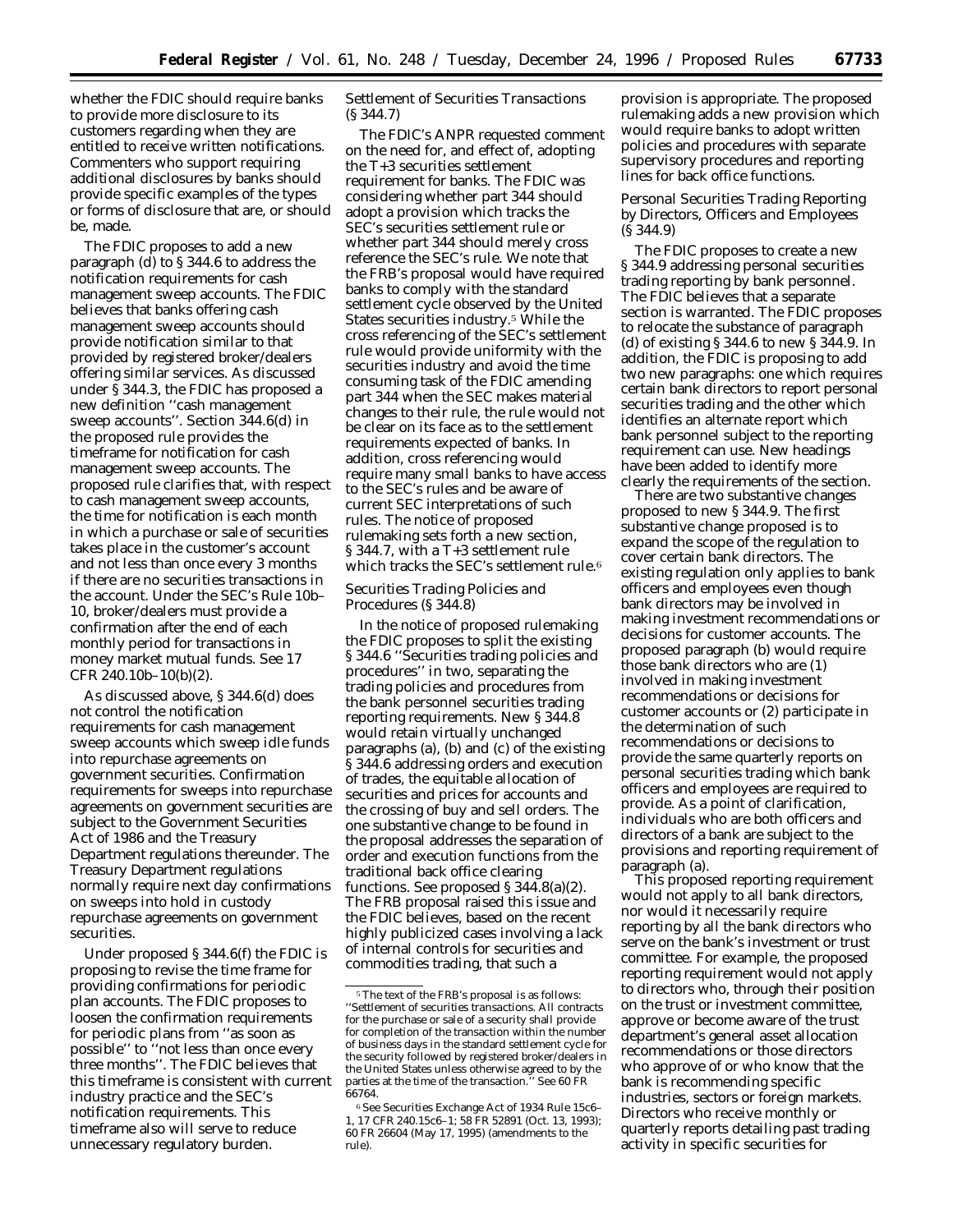whether the FDIC should require banks to provide more disclosure to its customers regarding when they are entitled to receive written notifications. Commenters who support requiring additional disclosures by banks should provide specific examples of the types or forms of disclosure that are, or should be, made.

The FDIC proposes to add a new paragraph (d) to § 344.6 to address the notification requirements for cash management sweep accounts. The FDIC believes that banks offering cash management sweep accounts should provide notification similar to that provided by registered broker/dealers offering similar services. As discussed under § 344.3, the FDIC has proposed a new definition ''cash management sweep accounts''. Section 344.6(d) in the proposed rule provides the timeframe for notification for cash management sweep accounts. The proposed rule clarifies that, with respect to cash management sweep accounts, the time for notification is each month in which a purchase or sale of securities takes place in the customer's account and not less than once every 3 months if there are no securities transactions in the account. Under the SEC's Rule 10b– 10, broker/dealers must provide a confirmation after the end of each monthly period for transactions in money market mutual funds. See 17 CFR 240.10b–10(b)(2).

As discussed above, § 344.6(d) does not control the notification requirements for cash management sweep accounts which sweep idle funds into repurchase agreements on government securities. Confirmation requirements for sweeps into repurchase agreements on government securities are subject to the Government Securities Act of 1986 and the Treasury Department regulations thereunder. The Treasury Department regulations normally require next day confirmations on sweeps into hold in custody repurchase agreements on government securities.

Under proposed § 344.6(f) the FDIC is proposing to revise the time frame for providing confirmations for periodic plan accounts. The FDIC proposes to loosen the confirmation requirements for periodic plans from ''as soon as possible'' to ''not less than once every three months''. The FDIC believes that this timeframe is consistent with current industry practice and the SEC's notification requirements. This timeframe also will serve to reduce unnecessary regulatory burden.

# *Settlement of Securities Transactions (§ 344.7)*

The FDIC's ANPR requested comment on the need for, and effect of, adopting the T+3 securities settlement requirement for banks. The FDIC was considering whether part 344 should adopt a provision which tracks the SEC's securities settlement rule or whether part 344 should merely cross reference the SEC's rule. We note that the FRB's proposal would have required banks to comply with the standard settlement cycle observed by the United States securities industry.5 While the cross referencing of the SEC's settlement rule would provide uniformity with the securities industry and avoid the time consuming task of the FDIC amending part 344 when the SEC makes material changes to their rule, the rule would not be clear on its face as to the settlement requirements expected of banks. In addition, cross referencing would require many small banks to have access to the SEC's rules and be aware of current SEC interpretations of such rules. The notice of proposed rulemaking sets forth a new section, § 344.7, with a T+3 settlement rule which tracks the SEC's settlement rule.<sup>6</sup>

# *Securities Trading Policies and Procedures (§ 344.8)*

In the notice of proposed rulemaking the FDIC proposes to split the existing § 344.6 ''Securities trading policies and procedures'' in two, separating the trading policies and procedures from the bank personnel securities trading reporting requirements. New § 344.8 would retain virtually unchanged paragraphs (a), (b) and (c) of the existing § 344.6 addressing orders and execution of trades, the equitable allocation of securities and prices for accounts and the crossing of buy and sell orders. The one substantive change to be found in the proposal addresses the separation of order and execution functions from the traditional back office clearing functions. See proposed § 344.8(a)(2). The FRB proposal raised this issue and the FDIC believes, based on the recent highly publicized cases involving a lack of internal controls for securities and commodities trading, that such a

provision is appropriate. The proposed rulemaking adds a new provision which would require banks to adopt written policies and procedures with separate supervisory procedures and reporting lines for back office functions.

### *Personal Securities Trading Reporting by Directors, Officers and Employees (§ 344.9)*

The FDIC proposes to create a new § 344.9 addressing personal securities trading reporting by bank personnel. The FDIC believes that a separate section is warranted. The FDIC proposes to relocate the substance of paragraph (d) of existing § 344.6 to new § 344.9. In addition, the FDIC is proposing to add two new paragraphs: one which requires certain bank directors to report personal securities trading and the other which identifies an alternate report which bank personnel subject to the reporting requirement can use. New headings have been added to identify more clearly the requirements of the section.

There are two substantive changes proposed to new § 344.9. The first substantive change proposed is to expand the scope of the regulation to cover certain bank directors. The existing regulation only applies to bank officers and employees even though bank directors may be involved in making investment recommendations or decisions for customer accounts. The proposed paragraph (b) would require those bank directors who are (1) involved in making investment recommendations or decisions for customer accounts or (2) participate in the determination of such recommendations or decisions to provide the same quarterly reports on personal securities trading which bank officers and employees are required to provide. As a point of clarification, individuals who are both officers and directors of a bank are subject to the provisions and reporting requirement of paragraph (a).

This proposed reporting requirement would not apply to all bank directors, nor would it necessarily require reporting by all the bank directors who serve on the bank's investment or trust committee. For example, the proposed reporting requirement would not apply to directors who, through their position on the trust or investment committee, approve or become aware of the trust department's general asset allocation recommendations or those directors who approve of or who know that the bank is recommending specific industries, sectors or foreign markets. Directors who receive monthly or quarterly reports detailing past trading activity in specific securities for

 $^{\rm 5}$  The text of the FRB's proposal is as follows: *''Settlement of securities transactions.* All contracts for the purchase or sale of a security shall provide for completion of the transaction within the number of business days in the standard settlement cycle for the security followed by registered broker/dealers in the United States unless otherwise agreed to by the parties at the time of the transaction.'' See 60 FR 66764.

<sup>6</sup>See Securities Exchange Act of 1934 Rule 15c6– 1, 17 CFR 240.15c6–1; 58 FR 52891 (Oct. 13, 1993); 60 FR 26604 (May 17, 1995) (amendments to the rule).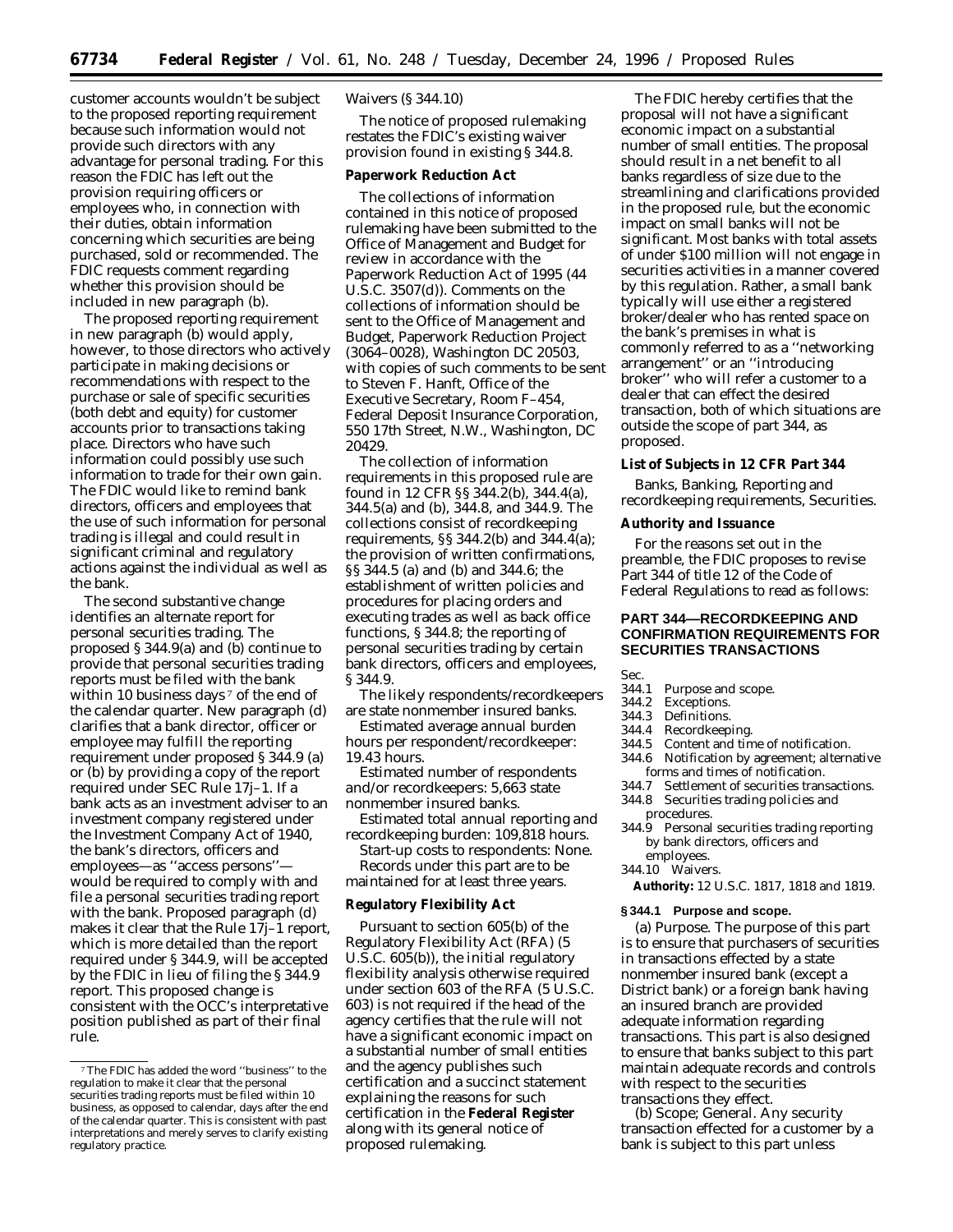customer accounts wouldn't be subject to the proposed reporting requirement because such information would not provide such directors with any advantage for personal trading. For this reason the FDIC has left out the provision requiring officers or employees who, in connection with their duties, obtain information concerning which securities are being purchased, sold or recommended. The FDIC requests comment regarding whether this provision should be included in new paragraph (b).

The proposed reporting requirement in new paragraph (b) would apply, however, to those directors who actively participate in making decisions or recommendations with respect to the purchase or sale of specific securities (both debt and equity) for customer accounts prior to transactions taking place. Directors who have such information could possibly use such information to trade for their own gain. The FDIC would like to remind bank directors, officers and employees that the use of such information for personal trading is illegal and could result in significant criminal and regulatory actions against the individual as well as the bank.

The second substantive change identifies an alternate report for personal securities trading. The proposed § 344.9(a) and (b) continue to provide that personal securities trading reports must be filed with the bank within 10 business days  $\frac{7}{1}$  of the end of the calendar quarter. New paragraph (d) clarifies that a bank director, officer or employee may fulfill the reporting requirement under proposed § 344.9 (a) or (b) by providing a copy of the report required under SEC Rule 17j–1. If a bank acts as an investment adviser to an investment company registered under the Investment Company Act of 1940, the bank's directors, officers and employees—as ''access persons'' would be required to comply with and file a personal securities trading report with the bank. Proposed paragraph (d) makes it clear that the Rule 17j–1 report, which is more detailed than the report required under § 344.9, will be accepted by the FDIC in lieu of filing the § 344.9 report. This proposed change is consistent with the OCC's interpretative position published as part of their final rule.

### *Waivers (§ 344.10)*

The notice of proposed rulemaking restates the FDIC's existing waiver provision found in existing § 344.8.

### **Paperwork Reduction Act**

The collections of information contained in this notice of proposed rulemaking have been submitted to the Office of Management and Budget for review in accordance with the Paperwork Reduction Act of 1995 (44 U.S.C. 3507(d)). Comments on the collections of information should be sent to the Office of Management and Budget, Paperwork Reduction Project (3064–0028), Washington DC 20503, with copies of such comments to be sent to Steven F. Hanft, Office of the Executive Secretary, Room F–454, Federal Deposit Insurance Corporation, 550 17th Street, N.W., Washington, DC 20429.

The collection of information requirements in this proposed rule are found in 12 CFR §§ 344.2(b), 344.4(a), 344.5(a) and (b), 344.8, and 344.9. The collections consist of recordkeeping requirements, §§ 344.2(b) and 344.4(a); the provision of written confirmations, §§ 344.5 (a) and (b) and 344.6; the establishment of written policies and procedures for placing orders and executing trades as well as back office functions, § 344.8; the reporting of personal securities trading by certain bank directors, officers and employees, § 344.9.

The likely respondents/recordkeepers are state nonmember insured banks.

*Estimated average annual burden hours per respondent/recordkeeper:* 19.43 hours.

*Estimated number of respondents and/or recordkeepers:* 5,663 state nonmember insured banks.

*Estimated total annual reporting and recordkeeping burden:* 109,818 hours.

*Start-up costs to respondents:* None. Records under this part are to be

maintained for at least three years.

# **Regulatory Flexibility Act**

Pursuant to section 605(b) of the Regulatory Flexibility Act (RFA) (5 U.S.C. 605(b)), the initial regulatory flexibility analysis otherwise required under section 603 of the RFA (5 U.S.C. 603) is not required if the head of the agency certifies that the rule will not have a significant economic impact on a substantial number of small entities and the agency publishes such certification and a succinct statement explaining the reasons for such certification in the **Federal Register** along with its general notice of proposed rulemaking.

The FDIC hereby certifies that the proposal will not have a significant economic impact on a substantial number of small entities. The proposal should result in a net benefit to all banks regardless of size due to the streamlining and clarifications provided in the proposed rule, but the economic impact on small banks will not be significant. Most banks with total assets of under \$100 million will not engage in securities activities in a manner covered by this regulation. Rather, a small bank typically will use either a registered broker/dealer who has rented space on the bank's premises in what is commonly referred to as a ''networking arrangement'' or an ''introducing broker'' who will refer a customer to a dealer that can effect the desired transaction, both of which situations are outside the scope of part 344, as proposed.

**List of Subjects in 12 CFR Part 344**

Banks, Banking, Reporting and recordkeeping requirements, Securities.

#### **Authority and Issuance**

For the reasons set out in the preamble, the FDIC proposes to revise Part 344 of title 12 of the Code of Federal Regulations to read as follows:

### **PART 344—RECORDKEEPING AND CONFIRMATION REQUIREMENTS FOR SECURITIES TRANSACTIONS**

- Sec.<br>344.1 344.1 Purpose and scope.<br>344.2 Exceptions.
- Exceptions.
- 344.3 Definitions.
- 344.4 Recordkeeping.
- 344.5 Content and time of notification.<br>344.6 Notification by agreement; altern
- Notification by agreement; alternative
- forms and times of notification.<br>344.7 Settlement of securities trans Settlement of securities transactions.
- 344.8 Securities trading policies and procedures.
- 344.9 Personal securities trading reporting by bank directors, officers and
- employees. 344.10 Waivers.

**Authority:** 12 U.S.C. 1817, 1818 and 1819.

#### **§ 344.1 Purpose and scope.**

(a) *Purpose*. The purpose of this part is to ensure that purchasers of securities in transactions effected by a state nonmember insured bank (except a District bank) or a foreign bank having an insured branch are provided adequate information regarding transactions. This part is also designed to ensure that banks subject to this part maintain adequate records and controls with respect to the securities transactions they effect.

(b) *Scope*; *General*. Any security transaction effected for a customer by a bank is subject to this part unless

<sup>7</sup>The FDIC has added the word ''business'' to the regulation to make it clear that the personal securities trading reports must be filed within 10 business, as opposed to calendar, days after the end of the calendar quarter. This is consistent with past interpretations and merely serves to clarify existing regulatory practice.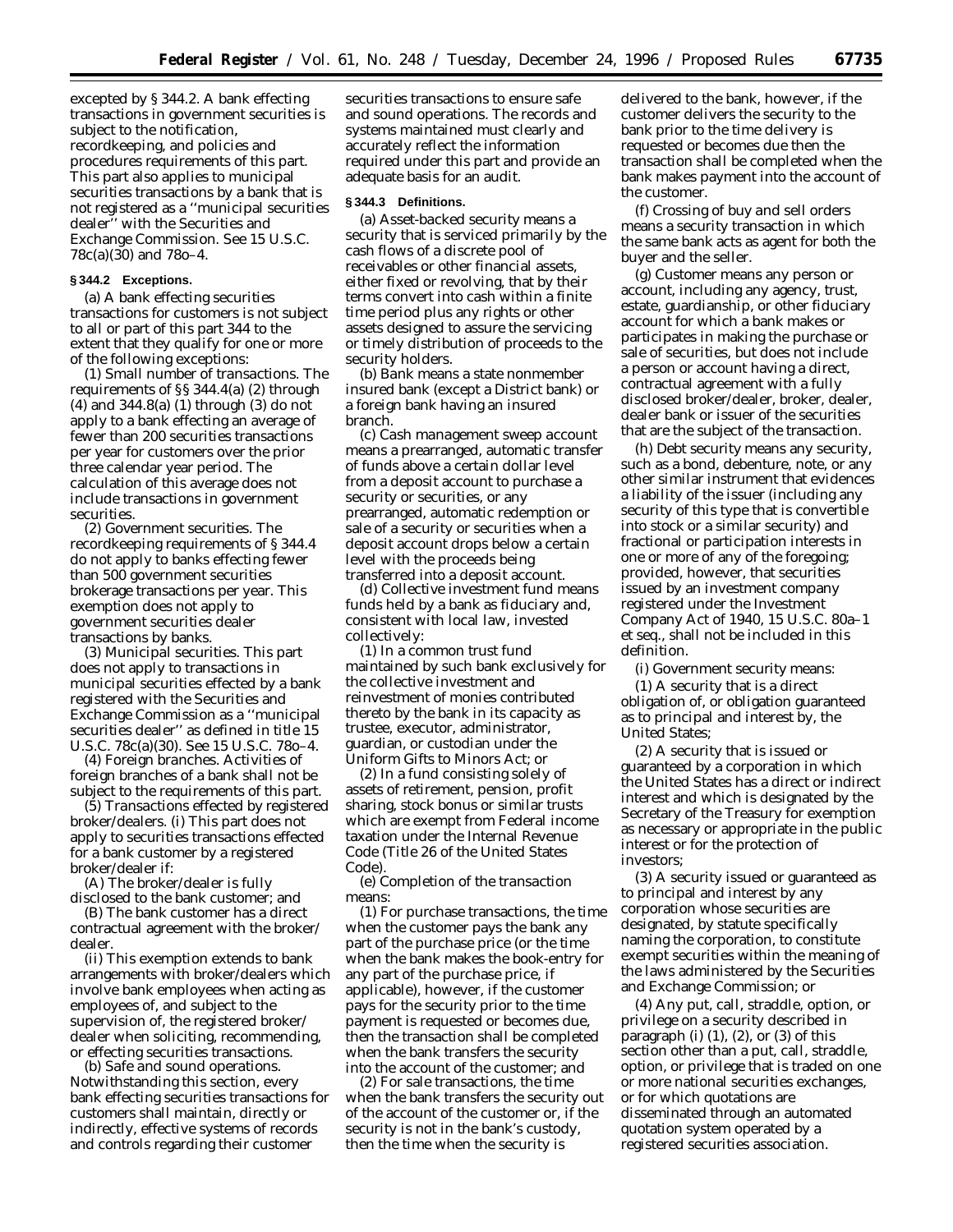excepted by § 344.2. A bank effecting transactions in government securities is subject to the notification, recordkeeping, and policies and procedures requirements of this part. This part also applies to municipal securities transactions by a bank that is not registered as a ''municipal securities dealer'' with the Securities and Exchange Commission. See 15 U.S.C. 78c(a)(30) and 78o–4.

# **§ 344.2 Exceptions.**

(a) A bank effecting securities transactions for customers is not subject to all or part of this part 344 to the extent that they qualify for one or more of the following exceptions:

(1) *Small number of transactions*. The requirements of §§ 344.4(a) (2) through (4) and 344.8(a) (1) through (3) do not apply to a bank effecting an average of fewer than 200 securities transactions per year for customers over the prior three calendar year period. The calculation of this average does not include transactions in government securities.

(2) *Government securities*. The recordkeeping requirements of § 344.4 do not apply to banks effecting fewer than 500 government securities brokerage transactions per year. This exemption does not apply to government securities dealer transactions by banks.

(3) *Municipal securities*. This part does not apply to transactions in municipal securities effected by a bank registered with the Securities and Exchange Commission as a ''municipal securities dealer'' as defined in title 15 U.S.C. 78c(a)(30). See 15 U.S.C. 78o–4.

(4) *Foreign branches*. Activities of foreign branches of a bank shall not be subject to the requirements of this part.

(5) *Transactions effected by registered broker/dealers*. (i) This part does not apply to securities transactions effected for a bank customer by a registered broker/dealer if:

(A) The broker/dealer is fully disclosed to the bank customer; and

(B) The bank customer has a direct contractual agreement with the broker/ dealer.

(ii) This exemption extends to bank arrangements with broker/dealers which involve bank employees when acting as employees of, and subject to the supervision of, the registered broker/ dealer when soliciting, recommending, or effecting securities transactions.

(b) *Safe and sound operations*. Notwithstanding this section, every bank effecting securities transactions for customers shall maintain, directly or indirectly, effective systems of records and controls regarding their customer

securities transactions to ensure safe and sound operations. The records and systems maintained must clearly and accurately reflect the information required under this part and provide an adequate basis for an audit.

### **§ 344.3 Definitions.**

(a) *Asset-backed security* means a security that is serviced primarily by the cash flows of a discrete pool of receivables or other financial assets, either fixed or revolving, that by their terms convert into cash within a finite time period plus any rights or other assets designed to assure the servicing or timely distribution of proceeds to the security holders.

(b) *Bank* means a state nonmember insured bank (except a District bank) or a foreign bank having an insured branch.

(c) *Cash management sweep account* means a prearranged, automatic transfer of funds above a certain dollar level from a deposit account to purchase a security or securities, or any prearranged, automatic redemption or sale of a security or securities when a deposit account drops below a certain level with the proceeds being transferred into a deposit account.

(d) *Collective investment fund* means funds held by a bank as fiduciary and, consistent with local law, invested collectively:

(1) In a common trust fund maintained by such bank exclusively for the collective investment and reinvestment of monies contributed thereto by the bank in its capacity as trustee, executor, administrator, guardian, or custodian under the Uniform Gifts to Minors Act; or

(2) In a fund consisting solely of assets of retirement, pension, profit sharing, stock bonus or similar trusts which are exempt from Federal income taxation under the Internal Revenue Code (Title 26 of the United States Code)

(e) *Completion of the transaction* means:

(1) For purchase transactions, the time when the customer pays the bank any part of the purchase price (or the time when the bank makes the book-entry for any part of the purchase price, if applicable), however, if the customer pays for the security prior to the time payment is requested or becomes due, then the transaction shall be completed when the bank transfers the security into the account of the customer; and

(2) For sale transactions, the time when the bank transfers the security out of the account of the customer or, if the security is not in the bank's custody, then the time when the security is

delivered to the bank, however, if the customer delivers the security to the bank prior to the time delivery is requested or becomes due then the transaction shall be completed when the bank makes payment into the account of the customer.

(f) *Crossing of buy and sell orders* means a security transaction in which the same bank acts as agent for both the buyer and the seller.

(g) *Customer* means any person or account, including any agency, trust, estate, guardianship, or other fiduciary account for which a bank makes or participates in making the purchase or sale of securities, but does not include a person or account having a direct, contractual agreement with a fully disclosed broker/dealer, broker, dealer, dealer bank or issuer of the securities that are the subject of the transaction.

(h) *Debt security* means any security, such as a bond, debenture, note, or any other similar instrument that evidences a liability of the issuer (including any security of this type that is convertible into stock or a similar security) and fractional or participation interests in one or more of any of the foregoing; provided, however, that securities issued by an investment company registered under the Investment Company Act of 1940, 15 U.S.C. 80a–1 et seq., shall not be included in this definition.

(i) *Government security* means:

(1) A security that is a direct obligation of, or obligation guaranteed as to principal and interest by, the United States;

(2) A security that is issued or guaranteed by a corporation in which the United States has a direct or indirect interest and which is designated by the Secretary of the Treasury for exemption as necessary or appropriate in the public interest or for the protection of investors;

(3) A security issued or guaranteed as to principal and interest by any corporation whose securities are designated, by statute specifically naming the corporation, to constitute exempt securities within the meaning of the laws administered by the Securities and Exchange Commission; or

(4) Any put, call, straddle, option, or privilege on a security described in paragraph  $(i)$   $(1)$ ,  $(2)$ , or  $(3)$  of this section other than a put, call, straddle, option, or privilege that is traded on one or more national securities exchanges, or for which quotations are disseminated through an automated quotation system operated by a registered securities association.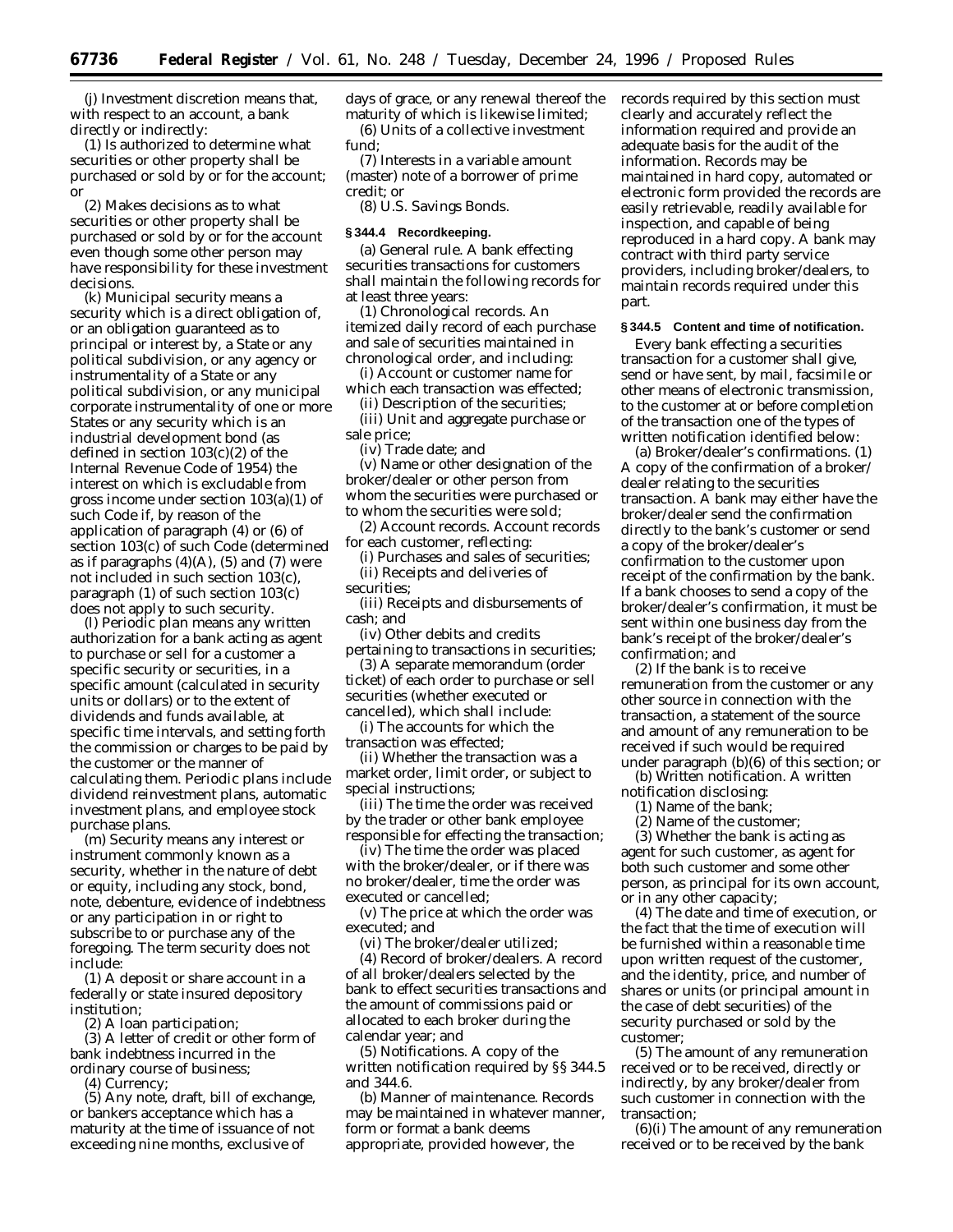(j) *Investment discretion* means that, with respect to an account, a bank directly or indirectly:

(1) Is authorized to determine what securities or other property shall be purchased or sold by or for the account; or

(2) Makes decisions as to what securities or other property shall be purchased or sold by or for the account even though some other person may have responsibility for these investment decisions.

(k) *Municipal security* means a security which is a direct obligation of, or an obligation guaranteed as to principal or interest by, a State or any political subdivision, or any agency or instrumentality of a State or any political subdivision, or any municipal corporate instrumentality of one or more States or any security which is an industrial development bond (as defined in section 103(c)(2) of the Internal Revenue Code of 1954) the interest on which is excludable from gross income under section 103(a)(1) of such Code if, by reason of the application of paragraph (4) or (6) of section 103(c) of such Code (determined as if paragraphs  $(4)(A)$ ,  $(5)$  and  $(7)$  were not included in such section 103(c), paragraph (1) of such section 103(c) does not apply to such security.

(l) *Periodic plan* means any written authorization for a bank acting as agent to purchase or sell for a customer a specific security or securities, in a specific amount (calculated in security units or dollars) or to the extent of dividends and funds available, at specific time intervals, and setting forth the commission or charges to be paid by the customer or the manner of calculating them. Periodic plans include dividend reinvestment plans, automatic investment plans, and employee stock purchase plans.

(m) *Security* means any interest or instrument commonly known as a security, whether in the nature of debt or equity, including any stock, bond, note, debenture, evidence of indebtness or any participation in or right to subscribe to or purchase any of the foregoing. The term security does not include:

(1) A deposit or share account in a federally or state insured depository institution;

(2) A loan participation;

(3) A letter of credit or other form of bank indebtness incurred in the ordinary course of business;

(4) Currency;

(5) Any note, draft, bill of exchange, or bankers acceptance which has a maturity at the time of issuance of not exceeding nine months, exclusive of

days of grace, or any renewal thereof the maturity of which is likewise limited; (6) Units of a collective investment fund;

(7) Interests in a variable amount (master) note of a borrower of prime credit; or

(8) U.S. Savings Bonds.

#### **§ 344.4 Recordkeeping.**

(a) *General rule.* A bank effecting securities transactions for customers shall maintain the following records for at least three years:

(1) *Chronological records.* An itemized daily record of each purchase and sale of securities maintained in chronological order, and including:

(i) Account or customer name for which each transaction was effected;

(ii) Description of the securities;

(iii) Unit and aggregate purchase or sale price;

(iv) Trade date; and

(v) Name or other designation of the broker/dealer or other person from whom the securities were purchased or to whom the securities were sold;

(2) *Account records.* Account records for each customer, reflecting:

(i) Purchases and sales of securities; (ii) Receipts and deliveries of securities;

(iii) Receipts and disbursements of cash; and

(iv) Other debits and credits pertaining to transactions in securities;

(3) A separate memorandum (order ticket) of each order to purchase or sell securities (whether executed or cancelled), which shall include:

(i) The accounts for which the transaction was effected;

(ii) Whether the transaction was a market order, limit order, or subject to special instructions;

(iii) The time the order was received by the trader or other bank employee responsible for effecting the transaction;

(iv) The time the order was placed with the broker/dealer, or if there was no broker/dealer, time the order was executed or cancelled;

(v) The price at which the order was executed; and

(vi) The broker/dealer utilized;

(4) *Record of broker/dealers.* A record of all broker/dealers selected by the bank to effect securities transactions and the amount of commissions paid or allocated to each broker during the calendar year; and

(5) *Notifications.* A copy of the written notification required by §§ 344.5 and 344.6.

(b) *Manner of maintenance.* Records may be maintained in whatever manner, form or format a bank deems appropriate, provided however, the

records required by this section must clearly and accurately reflect the information required and provide an adequate basis for the audit of the information. Records may be maintained in hard copy, automated or electronic form provided the records are easily retrievable, readily available for inspection, and capable of being reproduced in a hard copy. A bank may contract with third party service providers, including broker/dealers, to maintain records required under this part.

#### **§ 344.5 Content and time of notification.**

Every bank effecting a securities transaction for a customer shall give, send or have sent, by mail, facsimile or other means of electronic transmission, to the customer at or before completion of the transaction one of the types of written notification identified below:

(a) *Broker/dealer's confirmations.* (1) A copy of the confirmation of a broker/ dealer relating to the securities transaction. A bank may either have the broker/dealer send the confirmation directly to the bank's customer or send a copy of the broker/dealer's confirmation to the customer upon receipt of the confirmation by the bank. If a bank chooses to send a copy of the broker/dealer's confirmation, it must be sent within one business day from the bank's receipt of the broker/dealer's confirmation; and

(2) If the bank is to receive remuneration from the customer or any other source in connection with the transaction, a statement of the source and amount of any remuneration to be received if such would be required under paragraph (b)(6) of this section; or

(b) *Written notification.* A written notification disclosing:

(1) Name of the bank;

(2) Name of the customer;

(3) Whether the bank is acting as agent for such customer, as agent for both such customer and some other person, as principal for its own account, or in any other capacity;

(4) The date and time of execution, or the fact that the time of execution will be furnished within a reasonable time upon written request of the customer, and the identity, price, and number of shares or units (or principal amount in the case of debt securities) of the security purchased or sold by the customer;

(5) The amount of any remuneration received or to be received, directly or indirectly, by any broker/dealer from such customer in connection with the transaction;

(6)(i) The amount of any remuneration received or to be received by the bank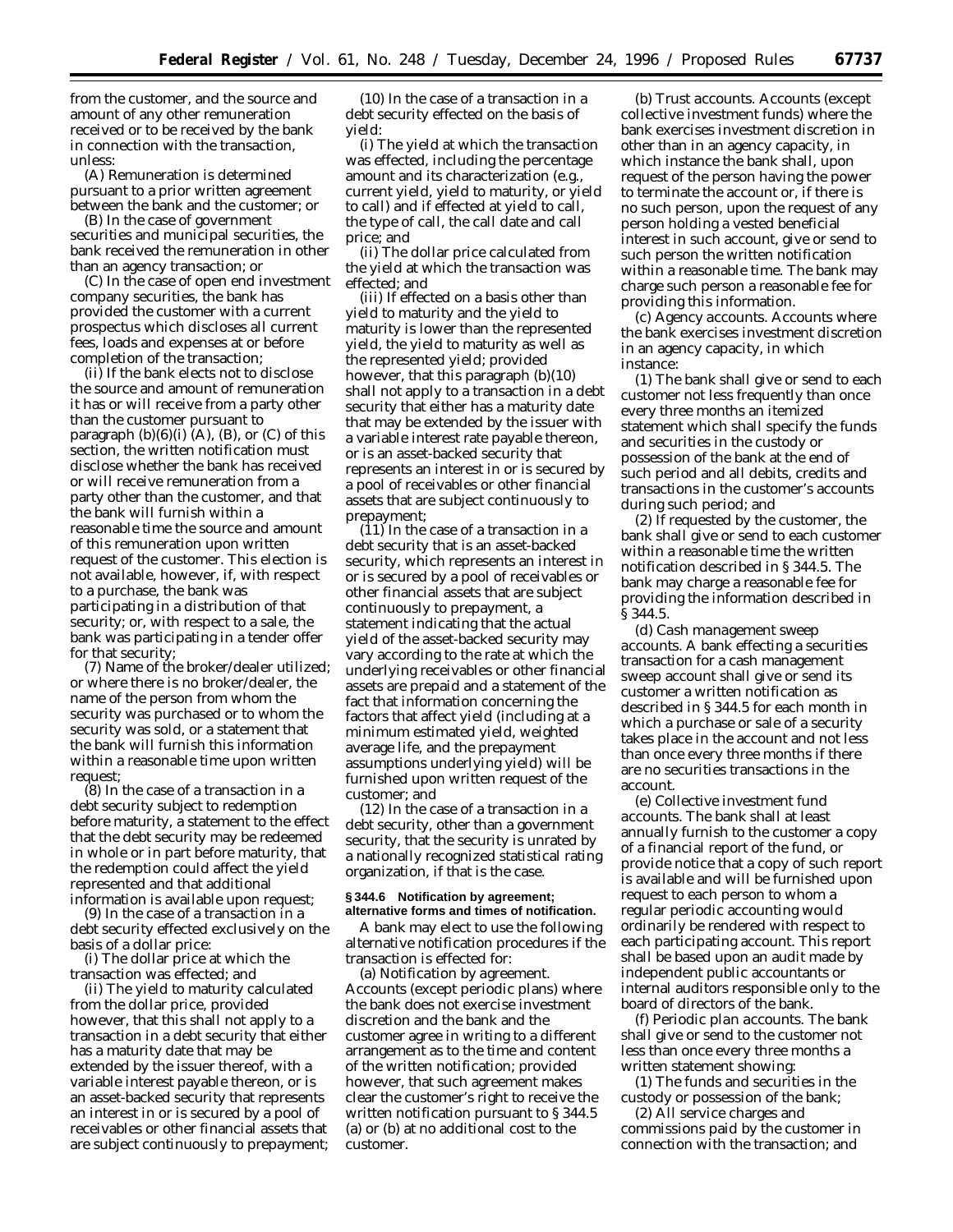from the customer, and the source and amount of any other remuneration received or to be received by the bank in connection with the transaction, unless:

(A) Remuneration is determined pursuant to a prior written agreement between the bank and the customer; or

(B) In the case of government securities and municipal securities, the bank received the remuneration in other than an agency transaction; or

(C) In the case of open end investment company securities, the bank has provided the customer with a current prospectus which discloses all current fees, loads and expenses at or before completion of the transaction;

(ii) If the bank elects not to disclose the source and amount of remuneration it has or will receive from a party other than the customer pursuant to paragraph  $(b)(6)(i)$   $(A)$ ,  $(B)$ , or  $(C)$  of this section, the written notification must disclose whether the bank has received or will receive remuneration from a party other than the customer, and that the bank will furnish within a reasonable time the source and amount of this remuneration upon written request of the customer. This election is not available, however, if, with respect to a purchase, the bank was participating in a distribution of that security; or, with respect to a sale, the bank was participating in a tender offer for that security;

(7) Name of the broker/dealer utilized; or where there is no broker/dealer, the name of the person from whom the security was purchased or to whom the security was sold, or a statement that the bank will furnish this information within a reasonable time upon written request;

(8) In the case of a transaction in a debt security subject to redemption before maturity, a statement to the effect that the debt security may be redeemed in whole or in part before maturity, that the redemption could affect the yield represented and that additional information is available upon request;

(9) In the case of a transaction in a debt security effected exclusively on the basis of a dollar price:

(i) The dollar price at which the transaction was effected; and

(ii) The yield to maturity calculated from the dollar price, provided however, that this shall not apply to a transaction in a debt security that either has a maturity date that may be extended by the issuer thereof, with a variable interest payable thereon, or is an asset-backed security that represents an interest in or is secured by a pool of receivables or other financial assets that are subject continuously to prepayment;

(10) In the case of a transaction in a debt security effected on the basis of yield:

(i) The yield at which the transaction was effected, including the percentage amount and its characterization (e.g., current yield, yield to maturity, or yield to call) and if effected at yield to call, the type of call, the call date and call price; and

(ii) The dollar price calculated from the yield at which the transaction was effected; and

(iii) If effected on a basis other than yield to maturity and the yield to maturity is lower than the represented yield, the yield to maturity as well as the represented yield; provided however, that this paragraph (b)(10) shall not apply to a transaction in a debt security that either has a maturity date that may be extended by the issuer with a variable interest rate payable thereon, or is an asset-backed security that represents an interest in or is secured by a pool of receivables or other financial assets that are subject continuously to prepayment;

 $(11)$  In the case of a transaction in a debt security that is an asset-backed security, which represents an interest in or is secured by a pool of receivables or other financial assets that are subject continuously to prepayment, a statement indicating that the actual yield of the asset-backed security may vary according to the rate at which the underlying receivables or other financial assets are prepaid and a statement of the fact that information concerning the factors that affect yield (including at a minimum estimated yield, weighted average life, and the prepayment assumptions underlying yield) will be furnished upon written request of the customer; and

(12) In the case of a transaction in a debt security, other than a government security, that the security is unrated by a nationally recognized statistical rating organization, if that is the case.

#### **§ 344.6 Notification by agreement; alternative forms and times of notification.**

A bank may elect to use the following alternative notification procedures if the transaction is effected for:

(a) *Notification by agreement.* Accounts (except periodic plans) where the bank does not exercise investment discretion and the bank and the customer agree in writing to a different arrangement as to the time and content of the written notification; provided however, that such agreement makes clear the customer's right to receive the written notification pursuant to § 344.5 (a) or (b) at no additional cost to the customer.

(b) *Trust accounts.* Accounts (except collective investment funds) where the bank exercises investment discretion in other than in an agency capacity, in which instance the bank shall, upon request of the person having the power to terminate the account or, if there is no such person, upon the request of any person holding a vested beneficial interest in such account, give or send to such person the written notification within a reasonable time. The bank may charge such person a reasonable fee for providing this information.

(c) *Agency accounts.* Accounts where the bank exercises investment discretion in an agency capacity, in which instance:

(1) The bank shall give or send to each customer not less frequently than once every three months an itemized statement which shall specify the funds and securities in the custody or possession of the bank at the end of such period and all debits, credits and transactions in the customer's accounts during such period; and

(2) If requested by the customer, the bank shall give or send to each customer within a reasonable time the written notification described in § 344.5. The bank may charge a reasonable fee for providing the information described in § 344.5.

(d) *Cash management sweep accounts.* A bank effecting a securities transaction for a cash management sweep account shall give or send its customer a written notification as described in § 344.5 for each month in which a purchase or sale of a security takes place in the account and not less than once every three months if there are no securities transactions in the account.

(e) *Collective investment fund accounts.* The bank shall at least annually furnish to the customer a copy of a financial report of the fund, or provide notice that a copy of such report is available and will be furnished upon request to each person to whom a regular periodic accounting would ordinarily be rendered with respect to each participating account. This report shall be based upon an audit made by independent public accountants or internal auditors responsible only to the board of directors of the bank.

(f) *Periodic plan accounts.* The bank shall give or send to the customer not less than once every three months a written statement showing:

(1) The funds and securities in the custody or possession of the bank;

(2) All service charges and commissions paid by the customer in connection with the transaction; and